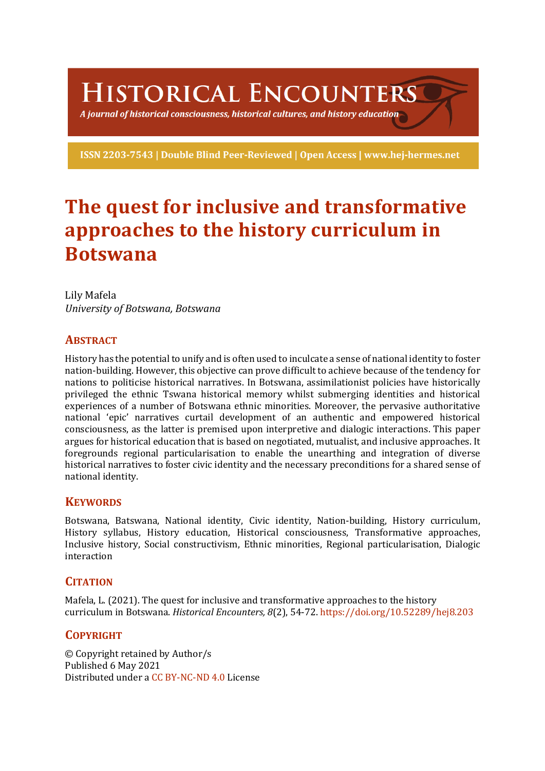HISTORICAL ENCOUNTERS

A journal of historical consciousness, historical cultures, and history education  $\mathbb S$ 

ISSN 2203-7543 | Double Blind Peer-Reviewed | Open Access | www.hej-hermes.net

# **The quest for inclusive and transformative** approaches to the history curriculum in **Botswana**

Lily Mafela *University of Botswana, Botswana*

## **ABSTRACT**

History has the potential to unify and is often used to inculcate a sense of national identity to foster nation-building. However, this objective can prove difficult to achieve because of the tendency for nations to politicise historical narratives. In Botswana, assimilationist policies have historically privileged the ethnic Tswana historical memory whilst submerging identities and historical experiences of a number of Botswana ethnic minorities. Moreover, the pervasive authoritative national 'epic' narratives curtail development of an authentic and empowered historical consciousness, as the latter is premised upon interpretive and dialogic interactions. This paper argues for historical education that is based on negotiated, mutualist, and inclusive approaches. It foregrounds regional particularisation to enable the unearthing and integration of diverse historical narratives to foster civic identity and the necessary preconditions for a shared sense of national identity.

## **KEYWORDS**

Botswana, Batswana, National identity, Civic identity, Nation-building, History curriculum, History syllabus, History education, Historical consciousness, Transformative approaches, Inclusive history, Social constructivism, Ethnic minorities, Regional particularisation, Dialogic interaction

## **CITATION**

Mafela, L.  $(2021)$ . The quest for inclusive and transformative approaches to the history curriculum in Botswana. *Historical Encounters, 8*(2), 54-72. https://doi.org/10.52289/hej8.203

# **COPYRIGHT**

© Copyright retained by Author/s Published 6 May 2021 Distributed under a CC BY-NC-ND 4.0 License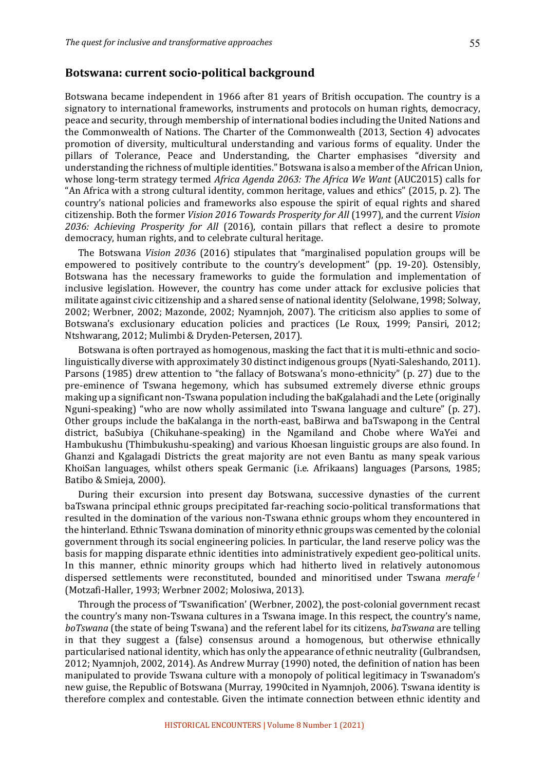#### Botswana: current socio-political background

Botswana became independent in 1966 after 81 years of British occupation. The country is a signatory to international frameworks, instruments and protocols on human rights, democracy, peace and security, through membership of international bodies including the United Nations and the Commonwealth of Nations. The Charter of the Commonwealth  $(2013,$  Section 4) advocates promotion of diversity, multicultural understanding and various forms of equality. Under the pillars of Tolerance, Peace and Understanding, the Charter emphasises "diversity and understanding the richness of multiple identities." Botswana is also a member of the African Union, whose long-term strategy termed *Africa Agenda 2063: The Africa We Want* (AUC2015) calls for "An Africa with a strong cultural identity, common heritage, values and ethics" (2015, p. 2). The country's national policies and frameworks also espouse the spirit of equal rights and shared citizenship. Both the former *Vision 2016 Towards Prosperity for All* (1997), and the current *Vision* 2036: Achieving Prosperity for All (2016), contain pillars that reflect a desire to promote democracy, human rights, and to celebrate cultural heritage.

The Botswana *Vision 2036* (2016) stipulates that "marginalised population groups will be empowered to positively contribute to the country's development" (pp. 19-20). Ostensibly, Botswana has the necessary frameworks to guide the formulation and implementation of inclusive legislation. However, the country has come under attack for exclusive policies that militate against civic citizenship and a shared sense of national identity (Selolwane, 1998; Solway, 2002; Werbner, 2002; Mazonde, 2002; Nyamnjoh, 2007). The criticism also applies to some of Botswana's exclusionary education policies and practices (Le Roux, 1999; Pansiri, 2012; Ntshwarang, 2012; Mulimbi & Dryden-Petersen, 2017).

Botswana is often portrayed as homogenous, masking the fact that it is multi-ethnic and sociolinguistically diverse with approximately 30 distinct indigenous groups (Nyati-Saleshando, 2011). Parsons (1985) drew attention to "the fallacy of Botswana's mono-ethnicity" (p. 27) due to the pre-eminence of Tswana hegemony, which has subsumed extremely diverse ethnic groups making up a significant non-Tswana population including the baKgalahadi and the Lete (originally Nguni-speaking) "who are now wholly assimilated into Tswana language and culture" (p. 27). Other groups include the baKalanga in the north-east, baBirwa and baTswapong in the Central district, baSubiya (Chikuhane-speaking) in the Ngamiland and Chobe where WaYei and Hambukushu (Thimbukushu-speaking) and various Khoesan linguistic groups are also found. In Ghanzi and Kgalagadi Districts the great majority are not even Bantu as many speak various KhoiSan languages, whilst others speak Germanic (i.e. Afrikaans) languages (Parsons, 1985; Batibo & Smieja, 2000).

During their excursion into present day Botswana, successive dynasties of the current baTswana principal ethnic groups precipitated far-reaching socio-political transformations that resulted in the domination of the various non-Tswana ethnic groups whom they encountered in the hinterland. Ethnic Tswana domination of minority ethnic groups was cemented by the colonial government through its social engineering policies. In particular, the land reserve policy was the basis for mapping disparate ethnic identities into administratively expedient geo-political units. In this manner, ethnic minority groups which had hitherto lived in relatively autonomous dispersed settlements were reconstituted, bounded and minoritised under Tswana *merafe* <sup>*l*</sup> (Motzafi-Haller, 1993; Werbner 2002; Molosiwa, 2013).

Through the process of 'Tswanification' (Werbner, 2002), the post-colonial government recast the country's many non-Tswana cultures in a Tswana image. In this respect, the country's name, *boTswana* (the state of being Tswana) and the referent label for its citizens, *baTswana* are telling in that they suggest a (false) consensus around a homogenous, but otherwise ethnically particularised national identity, which has only the appearance of ethnic neutrality (Gulbrandsen, 2012; Nyamnjoh, 2002, 2014). As Andrew Murray (1990) noted, the definition of nation has been manipulated to provide Tswana culture with a monopoly of political legitimacy in Tswanadom's new guise, the Republic of Botswana (Murray, 1990cited in Nyamnjoh, 2006). Tswana identity is therefore complex and contestable. Given the intimate connection between ethnic identity and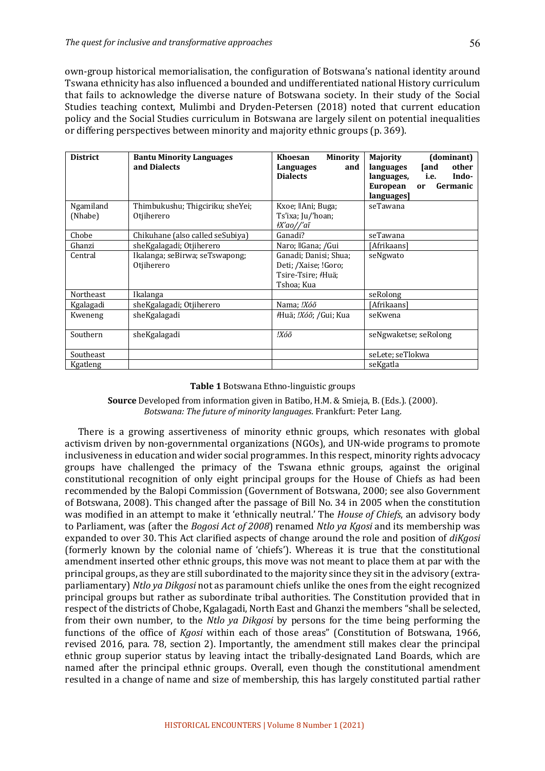own-group historical memorialisation, the configuration of Botswana's national identity around Tswana ethnicity has also influenced a bounded and undifferentiated national History curriculum that fails to acknowledge the diverse nature of Botswana society. In their study of the Social Studies teaching context, Mulimbi and Dryden-Petersen (2018) noted that current education policy and the Social Studies curriculum in Botswana are largely silent on potential inequalities or differing perspectives between minority and majority ethnic groups (p. 369).

| <b>District</b> | <b>Bantu Minority Languages</b><br>and Dialects | <b>Minority</b><br>Khoesan<br>and<br>Languages<br><b>Dialects</b>                             | (dominant)<br><b>Majority</b><br>other<br>[and<br>languages<br>Indo-<br>languages,<br>i.e.<br>European<br>Germanic<br><b>or</b><br>languages] |
|-----------------|-------------------------------------------------|-----------------------------------------------------------------------------------------------|-----------------------------------------------------------------------------------------------------------------------------------------------|
| Ngamiland       | Thimbukushu; Thigciriku; sheYei;                | Kxoe;   Ani; Buga;                                                                            | seTawana                                                                                                                                      |
| (Nhabe)         | Otjiherero                                      | Ts'ixa; Ju/'hoan;<br>‡X'ao//'aĩ                                                               |                                                                                                                                               |
| Chobe           | Chikuhane (also called seSubiya)                | Ganadi?                                                                                       | seTawana                                                                                                                                      |
| Ghanzi          | sheKgalagadi; Otjiherero                        | Naro;   Gana; /Gui                                                                            | [Afrikaans]                                                                                                                                   |
| Central         | Ikalanga; seBirwa; seTswapong;<br>Otjiherero    | Ganadi; Danisi; Shua;<br>Deti; /Xaise; !Goro;<br>Tsire-Tsire; <del>/</del> Huä;<br>Tshoa; Kua | seNgwato                                                                                                                                      |
| Northeast       | Ikalanga                                        |                                                                                               | seRolong                                                                                                                                      |
| Kgalagadi       | sheKgalagadi; Otjiherero                        | Nama; !Xóõ                                                                                    | [Afrikaans]                                                                                                                                   |
| Kweneng         | sheKgalagadi                                    | #Huä; !Xóõ; /Gui; Kua                                                                         | seKwena                                                                                                                                       |
| Southern        | sheKgalagadi                                    | !Xóõ                                                                                          | seNgwaketse; seRolong                                                                                                                         |
| Southeast       |                                                 |                                                                                               | seLete; seTlokwa                                                                                                                              |
| Kgatleng        |                                                 |                                                                                               | seKgatla                                                                                                                                      |

#### **Table 1** Botswana Ethno-linguistic groups

**Source** Developed from information given in Batibo, H.M. & Smieja, B. (Eds.). (2000). *Botswana: The future of minority languages*. Frankfurt: Peter Lang.

There is a growing assertiveness of minority ethnic groups, which resonates with global activism driven by non-governmental organizations (NGOs), and UN-wide programs to promote inclusiveness in education and wider social programmes. In this respect, minority rights advocacy groups have challenged the primacy of the Tswana ethnic groups, against the original constitutional recognition of only eight principal groups for the House of Chiefs as had been recommended by the Balopi Commission (Government of Botswana, 2000; see also Government of Botswana, 2008). This changed after the passage of Bill No. 34 in 2005 when the constitution was modified in an attempt to make it 'ethnically neutral.' The *House of Chiefs*, an advisory body to Parliament, was (after the *Bogosi Act of 2008*) renamed *Ntlo ya Kgosi* and its membership was expanded to over 30. This Act clarified aspects of change around the role and position of *diKgosi* (formerly known by the colonial name of 'chiefs'). Whereas it is true that the constitutional amendment inserted other ethnic groups, this move was not meant to place them at par with the principal groups, as they are still subordinated to the majority since they sit in the advisory (extraparliamentary) *Ntlo ya Dikgosi* not as paramount chiefs unlike the ones from the eight recognized principal groups but rather as subordinate tribal authorities. The Constitution provided that in respect of the districts of Chobe, Kgalagadi, North East and Ghanzi the members "shall be selected, from their own number, to the *Ntlo ya Dikgosi* by persons for the time being performing the functions of the office of *Kgosi* within each of those areas" (Constitution of Botswana, 1966, revised 2016, para. 78, section 2). Importantly, the amendment still makes clear the principal ethnic group superior status by leaving intact the tribally-designated Land Boards, which are named after the principal ethnic groups. Overall, even though the constitutional amendment resulted in a change of name and size of membership, this has largely constituted partial rather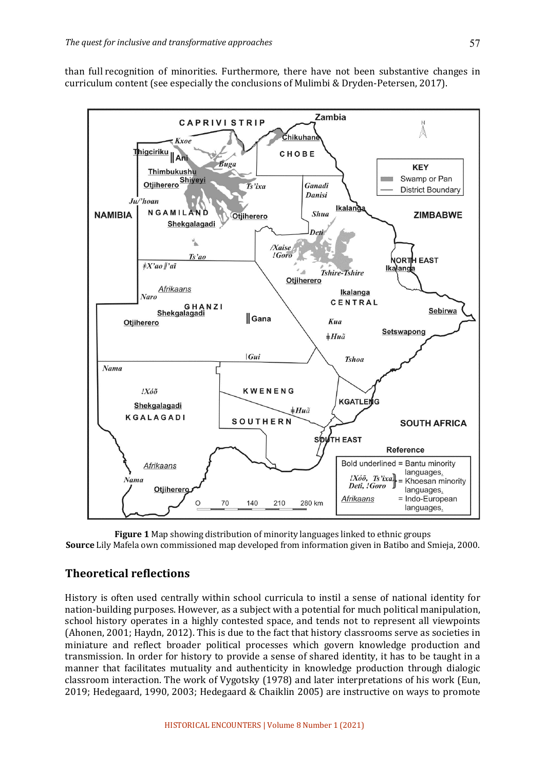than full recognition of minorities. Furthermore, there have not been substantive changes in curriculum content (see especially the conclusions of Mulimbi & Dryden-Petersen, 2017).



**Figure 1** Map showing distribution of minority languages linked to ethnic groups **Source** Lily Mafela own commissioned map developed from information given in Batibo and Smieja, 2000.

## **Theoretical reflections**

History is often used centrally within school curricula to instil a sense of national identity for nation-building purposes. However, as a subject with a potential for much political manipulation, school history operates in a highly contested space, and tends not to represent all viewpoints (Ahonen, 2001; Haydn, 2012). This is due to the fact that history classrooms serve as societies in miniature and reflect broader political processes which govern knowledge production and transmission. In order for history to provide a sense of shared identity, it has to be taught in a manner that facilitates mutuality and authenticity in knowledge production through dialogic classroom interaction. The work of Vygotsky (1978) and later interpretations of his work (Eun, 2019; Hedegaard, 1990, 2003; Hedegaard & Chaiklin 2005) are instructive on ways to promote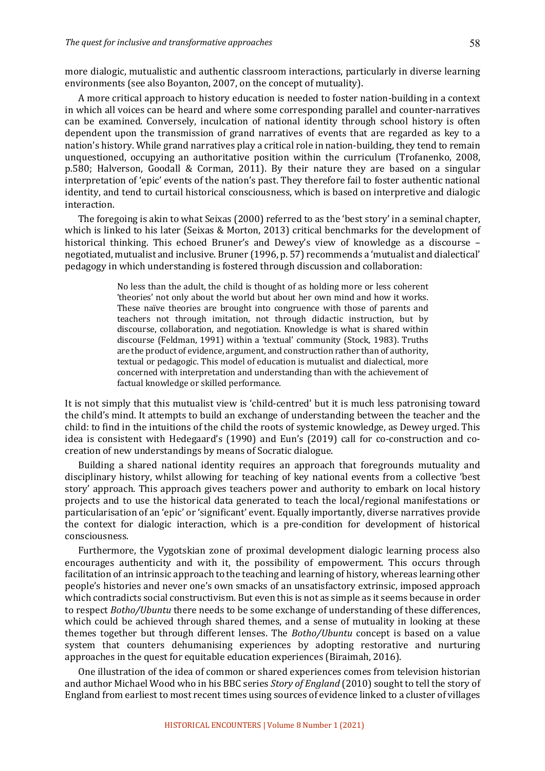more dialogic, mutualistic and authentic classroom interactions, particularly in diverse learning environments (see also Boyanton, 2007, on the concept of mutuality).

A more critical approach to history education is needed to foster nation-building in a context in which all voices can be heard and where some corresponding parallel and counter-narratives can be examined. Conversely, inculcation of national identity through school history is often dependent upon the transmission of grand narratives of events that are regarded as key to a nation's history. While grand narratives play a critical role in nation-building, they tend to remain unquestioned, occupying an authoritative position within the curriculum (Trofanenko, 2008, p.580; Halverson, Goodall & Corman, 2011). By their nature they are based on a singular interpretation of 'epic' events of the nation's past. They therefore fail to foster authentic national identity, and tend to curtail historical consciousness, which is based on interpretive and dialogic interaction. 

The foregoing is akin to what Seixas (2000) referred to as the 'best story' in a seminal chapter, which is linked to his later (Seixas & Morton, 2013) critical benchmarks for the development of historical thinking. This echoed Bruner's and Dewey's view of knowledge as a discourse  $$ negotiated, mutualist and inclusive. Bruner (1996, p. 57) recommends a 'mutualist and dialectical' pedagogy in which understanding is fostered through discussion and collaboration:

> No less than the adult, the child is thought of as holding more or less coherent 'theories' not only about the world but about her own mind and how it works. These naïve theories are brought into congruence with those of parents and teachers not through imitation, not through didactic instruction, but by discourse, collaboration, and negotiation. Knowledge is what is shared within discourse (Feldman, 1991) within a 'textual' community (Stock, 1983). Truths are the product of evidence, argument, and construction rather than of authority, textual or pedagogic. This model of education is mutualist and dialectical, more concerned with interpretation and understanding than with the achievement of factual knowledge or skilled performance.

It is not simply that this mutualist view is 'child-centred' but it is much less patronising toward the child's mind. It attempts to build an exchange of understanding between the teacher and the child: to find in the intuitions of the child the roots of systemic knowledge, as Dewey urged. This idea is consistent with Hedegaard's (1990) and Eun's (2019) call for co-construction and cocreation of new understandings by means of Socratic dialogue.

Building a shared national identity requires an approach that foregrounds mutuality and disciplinary history, whilst allowing for teaching of key national events from a collective 'best story' approach. This approach gives teachers power and authority to embark on local history projects and to use the historical data generated to teach the local/regional manifestations or particularisation of an 'epic' or 'significant' event. Equally importantly, diverse narratives provide the context for dialogic interaction, which is a pre-condition for development of historical consciousness.

Furthermore, the Vygotskian zone of proximal development dialogic learning process also encourages authenticity and with it, the possibility of empowerment. This occurs through facilitation of an intrinsic approach to the teaching and learning of history, whereas learning other people's histories and never one's own smacks of an unsatisfactory extrinsic, imposed approach which contradicts social constructivism. But even this is not as simple as it seems because in order to respect *Botho/Ubuntu* there needs to be some exchange of understanding of these differences, which could be achieved through shared themes, and a sense of mutuality in looking at these themes together but through different lenses. The *Botho/Ubuntu* concept is based on a value system that counters dehumanising experiences by adopting restorative and nurturing approaches in the quest for equitable education experiences (Biraimah, 2016).

One illustration of the idea of common or shared experiences comes from television historian and author Michael Wood who in his BBC series *Story of England* (2010) sought to tell the story of England from earliest to most recent times using sources of evidence linked to a cluster of villages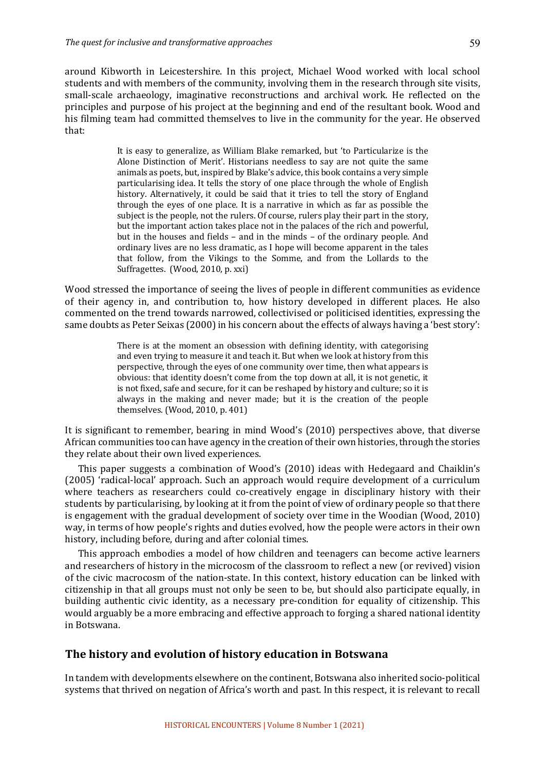around Kibworth in Leicestershire. In this project, Michael Wood worked with local school students and with members of the community, involving them in the research through site visits, small-scale archaeology, imaginative reconstructions and archival work. He reflected on the principles and purpose of his project at the beginning and end of the resultant book. Wood and his filming team had committed themselves to live in the community for the year. He observed that:

> It is easy to generalize, as William Blake remarked, but 'to Particularize is the Alone Distinction of Merit'. Historians needless to say are not quite the same animals as poets, but, inspired by Blake's advice, this book contains a very simple particularising idea. It tells the story of one place through the whole of English history. Alternatively, it could be said that it tries to tell the story of England through the eyes of one place. It is a narrative in which as far as possible the subject is the people, not the rulers. Of course, rulers play their part in the story, but the important action takes place not in the palaces of the rich and powerful, but in the houses and fields – and in the minds – of the ordinary people. And ordinary lives are no less dramatic, as I hope will become apparent in the tales that follow, from the Vikings to the Somme, and from the Lollards to the Suffragettes. (Wood, 2010, p. xxi)

Wood stressed the importance of seeing the lives of people in different communities as evidence of their agency in, and contribution to, how history developed in different places. He also commented on the trend towards narrowed, collectivised or politicised identities, expressing the same doubts as Peter Seixas (2000) in his concern about the effects of always having a 'best story':

> There is at the moment an obsession with defining identity, with categorising and even trying to measure it and teach it. But when we look at history from this perspective, through the eyes of one community over time, then what appears is obvious: that identity doesn't come from the top down at all, it is not genetic, it is not fixed, safe and secure, for it can be reshaped by history and culture; so it is always in the making and never made; but it is the creation of the people themselves. (Wood, 2010, p. 401)

It is significant to remember, bearing in mind Wood's (2010) perspectives above, that diverse African communities too can have agency in the creation of their own histories, through the stories they relate about their own lived experiences.

This paper suggests a combination of Wood's (2010) ideas with Hedegaard and Chaiklin's (2005) 'radical-local' approach. Such an approach would require development of a curriculum where teachers as researchers could co-creatively engage in disciplinary history with their students by particularising, by looking at it from the point of view of ordinary people so that there is engagement with the gradual development of society over time in the Woodian (Wood, 2010) way, in terms of how people's rights and duties evolved, how the people were actors in their own history, including before, during and after colonial times.

This approach embodies a model of how children and teenagers can become active learners and researchers of history in the microcosm of the classroom to reflect a new (or revived) vision of the civic macrocosm of the nation-state. In this context, history education can be linked with citizenship in that all groups must not only be seen to be, but should also participate equally, in building authentic civic identity, as a necessary pre-condition for equality of citizenship. This would arguably be a more embracing and effective approach to forging a shared national identity in Botswana. 

## **The history and evolution of history education in Botswana**

In tandem with developments elsewhere on the continent, Botswana also inherited socio-political systems that thrived on negation of Africa's worth and past. In this respect, it is relevant to recall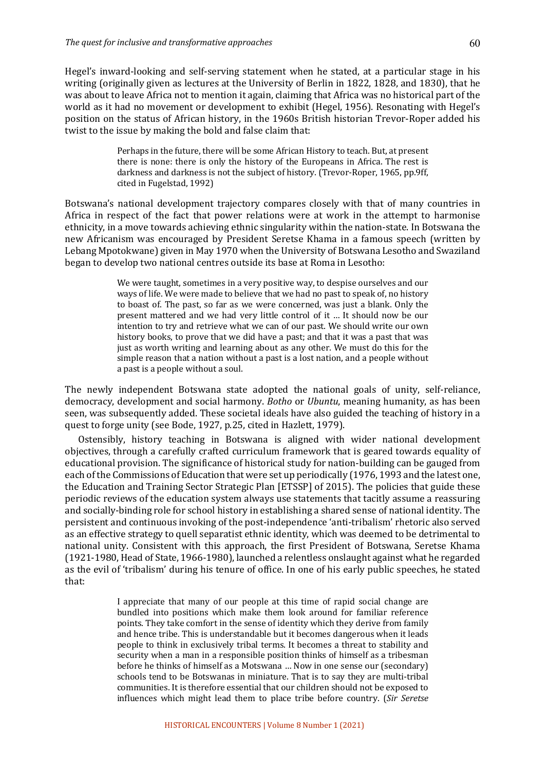Hegel's inward-looking and self-serving statement when he stated, at a particular stage in his writing (originally given as lectures at the University of Berlin in 1822, 1828, and 1830), that he was about to leave Africa not to mention it again, claiming that Africa was no historical part of the world as it had no movement or development to exhibit (Hegel, 1956). Resonating with Hegel's position on the status of African history, in the 1960s British historian Trevor-Roper added his twist to the issue by making the bold and false claim that:

> Perhaps in the future, there will be some African History to teach. But, at present there is none: there is only the history of the Europeans in Africa. The rest is darkness and darkness is not the subject of history. (Trevor-Roper, 1965, pp.9ff, cited in Fugelstad, 1992)

Botswana's national development trajectory compares closely with that of many countries in Africa in respect of the fact that power relations were at work in the attempt to harmonise ethnicity, in a move towards achieving ethnic singularity within the nation-state. In Botswana the new Africanism was encouraged by President Seretse Khama in a famous speech (written by Lebang Mpotokwane) given in May 1970 when the University of Botswana Lesotho and Swaziland began to develop two national centres outside its base at Roma in Lesotho:

> We were taught, sometimes in a very positive way, to despise ourselves and our ways of life. We were made to believe that we had no past to speak of, no history to boast of. The past, so far as we were concerned, was just a blank. Only the present mattered and we had very little control of it ... It should now be our intention to try and retrieve what we can of our past. We should write our own history books, to prove that we did have a past; and that it was a past that was just as worth writing and learning about as any other. We must do this for the simple reason that a nation without a past is a lost nation, and a people without a past is a people without a soul.

The newly independent Botswana state adopted the national goals of unity, self-reliance, democracy, development and social harmony. *Botho* or *Ubuntu*, meaning humanity, as has been seen, was subsequently added. These societal ideals have also guided the teaching of history in a quest to forge unity (see Bode, 1927, p.25, cited in Hazlett, 1979).

Ostensibly, history teaching in Botswana is aligned with wider national development objectives, through a carefully crafted curriculum framework that is geared towards equality of educational provision. The significance of historical study for nation-building can be gauged from each of the Commissions of Education that were set up periodically (1976, 1993 and the latest one, the Education and Training Sector Strategic Plan [ETSSP] of 2015). The policies that guide these periodic reviews of the education system always use statements that tacitly assume a reassuring and socially-binding role for school history in establishing a shared sense of national identity. The persistent and continuous invoking of the post-independence 'anti-tribalism' rhetoric also served as an effective strategy to quell separatist ethnic identity, which was deemed to be detrimental to national unity. Consistent with this approach, the first President of Botswana, Seretse Khama  $(1921-1980,$  Head of State, 1966-1980), launched a relentless onslaught against what he regarded as the evil of 'tribalism' during his tenure of office. In one of his early public speeches, he stated that:

> I appreciate that many of our people at this time of rapid social change are bundled into positions which make them look around for familiar reference points. They take comfort in the sense of identity which they derive from family and hence tribe. This is understandable but it becomes dangerous when it leads people to think in exclusively tribal terms. It becomes a threat to stability and security when a man in a responsible position thinks of himself as a tribesman before he thinks of himself as a Motswana ... Now in one sense our (secondary) schools tend to be Botswanas in miniature. That is to say they are multi-tribal communities. It is therefore essential that our children should not be exposed to influences which might lead them to place tribe before country. (*Sir Seretse*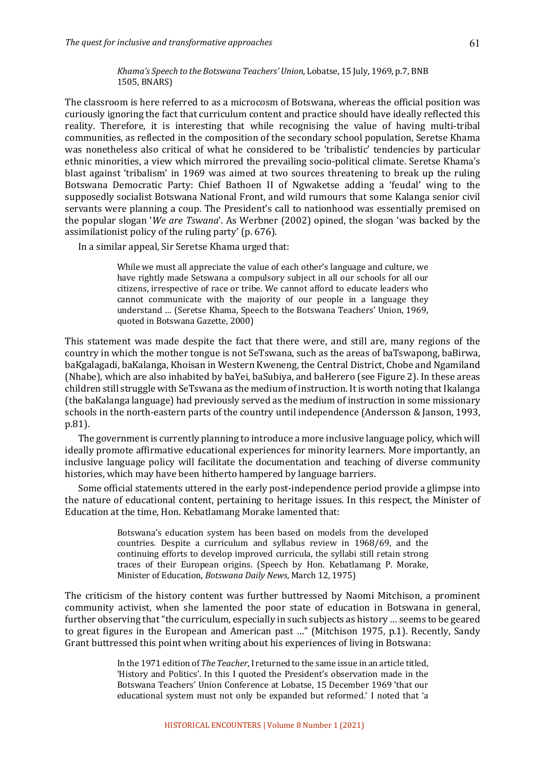*Khama's Speech to the Botswana Teachers' Union*, Lobatse, 15 July, 1969, p.7, BNB 1505, BNARS)

The classroom is here referred to as a microcosm of Botswana, whereas the official position was curiously ignoring the fact that curriculum content and practice should have ideally reflected this reality. Therefore, it is interesting that while recognising the value of having multi-tribal communities, as reflected in the composition of the secondary school population, Seretse Khama was nonetheless also critical of what he considered to be 'tribalistic' tendencies by particular ethnic minorities, a view which mirrored the prevailing socio-political climate. Seretse Khama's blast against 'tribalism' in 1969 was aimed at two sources threatening to break up the ruling Botswana Democratic Party: Chief Bathoen II of Ngwaketse adding a 'feudal' wing to the supposedly socialist Botswana National Front, and wild rumours that some Kalanga senior civil servants were planning a coup. The President's call to nationhood was essentially premised on the popular slogan *'We are Tswana'*. As Werbner (2002) opined, the slogan 'was backed by the assimilationist policy of the ruling party' (p.  $676$ ).

In a similar appeal, Sir Seretse Khama urged that:

While we must all appreciate the value of each other's language and culture, we have rightly made Setswana a compulsory subject in all our schools for all our citizens. irrespective of race or tribe. We cannot afford to educate leaders who cannot communicate with the majority of our people in a language they understand ... (Seretse Khama, Speech to the Botswana Teachers' Union, 1969, quoted in Botswana Gazette, 2000)

This statement was made despite the fact that there were, and still are, many regions of the country in which the mother tongue is not SeTswana, such as the areas of baTswapong, baBirwa, baKgalagadi, baKalanga, Khoisan in Western Kweneng, the Central District, Chobe and Ngamiland (Nhabe), which are also inhabited by baYei, baSubiya, and baHerero (see Figure 2). In these areas children still struggle with SeTswana as the medium of instruction. It is worth noting that Ikalanga (the baKalanga language) had previously served as the medium of instruction in some missionary schools in the north-eastern parts of the country until independence (Andersson & Janson, 1993, p.81). 

The government is currently planning to introduce a more inclusive language policy, which will ideally promote affirmative educational experiences for minority learners. More importantly, an inclusive language policy will facilitate the documentation and teaching of diverse community histories, which may have been hitherto hampered by language barriers.

Some official statements uttered in the early post-independence period provide a glimpse into the nature of educational content, pertaining to heritage issues. In this respect, the Minister of Education at the time, Hon. Kebatlamang Morake lamented that:

> Botswana's education system has been based on models from the developed countries. Despite a curriculum and syllabus review in 1968/69, and the continuing efforts to develop improved curricula, the syllabi still retain strong traces of their European origins. (Speech by Hon. Kebatlamang P. Morake, Minister of Education, *Botswana Daily News*, March 12, 1975)

The criticism of the history content was further buttressed by Naomi Mitchison, a prominent community activist, when she lamented the poor state of education in Botswana in general, further observing that "the curriculum, especially in such subjects as history ... seems to be geared to great figures in the European and American past ..." (Mitchison 1975, p.1). Recently, Sandy Grant buttressed this point when writing about his experiences of living in Botswana:

> In the 1971 edition of *The Teacher*, I returned to the same issue in an article titled, 'History and Politics'. In this I quoted the President's observation made in the Botswana Teachers' Union Conference at Lobatse, 15 December 1969 'that our educational system must not only be expanded but reformed.' I noted that 'a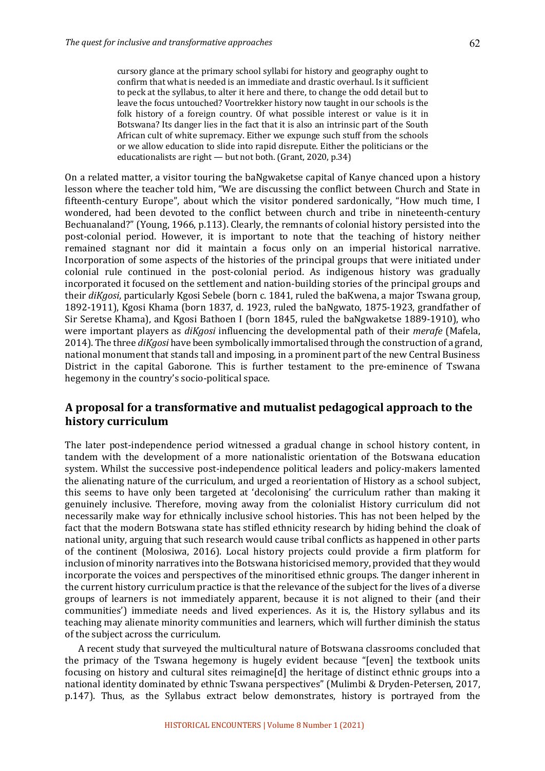cursory glance at the primary school syllabi for history and geography ought to confirm that what is needed is an immediate and drastic overhaul. Is it sufficient to peck at the syllabus, to alter it here and there, to change the odd detail but to leave the focus untouched? Voortrekker history now taught in our schools is the folk history of a foreign country. Of what possible interest or value is it in Botswana? Its danger lies in the fact that it is also an intrinsic part of the South African cult of white supremacy. Either we expunge such stuff from the schools or we allow education to slide into rapid disrepute. Either the politicians or the educationalists are right  $-$  but not both. (Grant, 2020, p.34)

On a related matter, a visitor touring the baNgwaketse capital of Kanye chanced upon a history lesson where the teacher told him, "We are discussing the conflict between Church and State in fifteenth-century Europe", about which the visitor pondered sardonically, "How much time, I wondered, had been devoted to the conflict between church and tribe in nineteenth-century Bechuanaland?" (Young, 1966, p.113). Clearly, the remnants of colonial history persisted into the post-colonial period. However, it is important to note that the teaching of history neither remained stagnant nor did it maintain a focus only on an imperial historical narrative. Incorporation of some aspects of the histories of the principal groups that were initiated under colonial rule continued in the post-colonial period. As indigenous history was gradually incorporated it focused on the settlement and nation-building stories of the principal groups and their *diKgosi*, particularly Kgosi Sebele (born c. 1841, ruled the baKwena, a major Tswana group, 1892-1911), Kgosi Khama (born 1837, d. 1923, ruled the baNgwato, 1875-1923, grandfather of Sir Seretse Khama), and Kgosi Bathoen I (born 1845, ruled the baNgwaketse 1889-1910), who were important players as *diKgosi* influencing the developmental path of their *merafe* (Mafela, 2014). The three *diKgosi* have been symbolically immortalised through the construction of a grand, national monument that stands tall and imposing, in a prominent part of the new Central Business District in the capital Gaborone. This is further testament to the pre-eminence of Tswana hegemony in the country's socio-political space.

# A proposal for a transformative and mutualist pedagogical approach to the **history curriculum**

The later post-independence period witnessed a gradual change in school history content, in tandem with the development of a more nationalistic orientation of the Botswana education system. Whilst the successive post-independence political leaders and policy-makers lamented the alienating nature of the curriculum, and urged a reorientation of History as a school subject, this seems to have only been targeted at 'decolonising' the curriculum rather than making it genuinely inclusive. Therefore, moving away from the colonialist History curriculum did not necessarily make way for ethnically inclusive school histories. This has not been helped by the fact that the modern Botswana state has stifled ethnicity research by hiding behind the cloak of national unity, arguing that such research would cause tribal conflicts as happened in other parts of the continent (Molosiwa, 2016). Local history projects could provide a firm platform for inclusion of minority narratives into the Botswana historicised memory, provided that they would incorporate the voices and perspectives of the minoritised ethnic groups. The danger inherent in the current history curriculum practice is that the relevance of the subject for the lives of a diverse groups of learners is not immediately apparent, because it is not aligned to their (and their communities') immediate needs and lived experiences. As it is, the History syllabus and its teaching may alienate minority communities and learners, which will further diminish the status of the subject across the curriculum.

A recent study that surveyed the multicultural nature of Botswana classrooms concluded that the primacy of the Tswana hegemony is hugely evident because "[even] the textbook units focusing on history and cultural sites reimagine[d] the heritage of distinct ethnic groups into a national identity dominated by ethnic Tswana perspectives" (Mulimbi & Dryden-Petersen, 2017, p.147). Thus, as the Syllabus extract below demonstrates, history is portrayed from the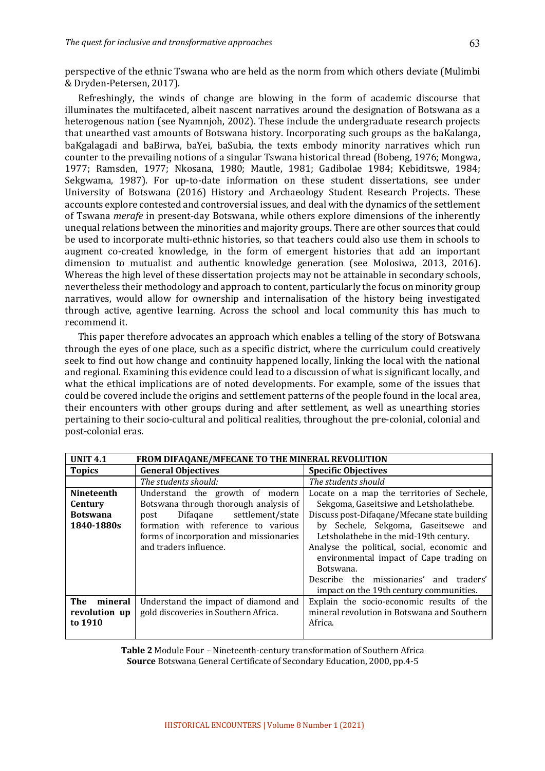perspective of the ethnic Tswana who are held as the norm from which others deviate (Mulimbi & Dryden-Petersen, 2017).

Refreshingly, the winds of change are blowing in the form of academic discourse that illuminates the multifaceted, albeit nascent narratives around the designation of Botswana as a heterogenous nation (see Nyamnjoh, 2002). These include the undergraduate research projects that unearthed vast amounts of Botswana history. Incorporating such groups as the baKalanga, baKgalagadi and baBirwa, baYei, baSubia, the texts embody minority narratives which run counter to the prevailing notions of a singular Tswana historical thread (Bobeng, 1976; Mongwa, 1977; Ramsden, 1977; Nkosana, 1980; Mautle, 1981; Gadibolae 1984; Kebiditswe, 1984; Sekgwama, 1987). For up-to-date information on these student dissertations, see under University of Botswana (2016) History and Archaeology Student Research Projects. These accounts explore contested and controversial issues, and deal with the dynamics of the settlement of Tswana *merafe* in present-day Botswana, while others explore dimensions of the inherently unequal relations between the minorities and majority groups. There are other sources that could be used to incorporate multi-ethnic histories, so that teachers could also use them in schools to augment co-created knowledge, in the form of emergent histories that add an important dimension to mutualist and authentic knowledge generation (see Molosiwa, 2013, 2016). Whereas the high level of these dissertation projects may not be attainable in secondary schools, nevertheless their methodology and approach to content, particularly the focus on minority group narratives, would allow for ownership and internalisation of the history being investigated through active, agentive learning. Across the school and local community this has much to recommend it.

This paper therefore advocates an approach which enables a telling of the story of Botswana through the eyes of one place, such as a specific district, where the curriculum could creatively seek to find out how change and continuity happened locally, linking the local with the national and regional. Examining this evidence could lead to a discussion of what is significant locally, and what the ethical implications are of noted developments. For example, some of the issues that could be covered include the origins and settlement patterns of the people found in the local area, their encounters with other groups during and after settlement, as well as unearthing stories pertaining to their socio-cultural and political realities, throughout the pre-colonial, colonial and post-colonial eras. 

| <b>UNIT 4.1</b><br>FROM DIFAQANE/MFECANE TO THE MINERAL REVOLUTION |                                         |                                              |  |  |
|--------------------------------------------------------------------|-----------------------------------------|----------------------------------------------|--|--|
| <b>Topics</b>                                                      | <b>General Objectives</b>               | <b>Specific Objectives</b>                   |  |  |
|                                                                    | The students should:                    | The students should                          |  |  |
| <b>Nineteenth</b>                                                  | Understand the growth of modern         | Locate on a map the territories of Sechele,  |  |  |
| Century                                                            | Botswana through thorough analysis of   | Sekgoma, Gaseitsiwe and Letsholathebe.       |  |  |
| <b>Botswana</b>                                                    | Difaqane settlement/state<br>post       | Discuss post-Difagane/Mfecane state building |  |  |
| 1840-1880s                                                         | formation with reference to various     | by Sechele, Sekgoma, Gaseitsewe and          |  |  |
|                                                                    | forms of incorporation and missionaries | Letsholathebe in the mid-19th century.       |  |  |
|                                                                    | and traders influence.                  | Analyse the political, social, economic and  |  |  |
|                                                                    |                                         | environmental impact of Cape trading on      |  |  |
|                                                                    |                                         | Botswana.                                    |  |  |
|                                                                    |                                         | Describe the missionaries' and traders'      |  |  |
|                                                                    |                                         | impact on the 19th century communities.      |  |  |
| The<br>mineral                                                     | Understand the impact of diamond and    | Explain the socio-economic results of the    |  |  |
| revolution up                                                      | gold discoveries in Southern Africa.    | mineral revolution in Botswana and Southern  |  |  |
| to 1910                                                            |                                         | Africa.                                      |  |  |
|                                                                    |                                         |                                              |  |  |

**Table 2** Module Four – Nineteenth-century transformation of Southern Africa **Source** Botswana General Certificate of Secondary Education, 2000, pp.4-5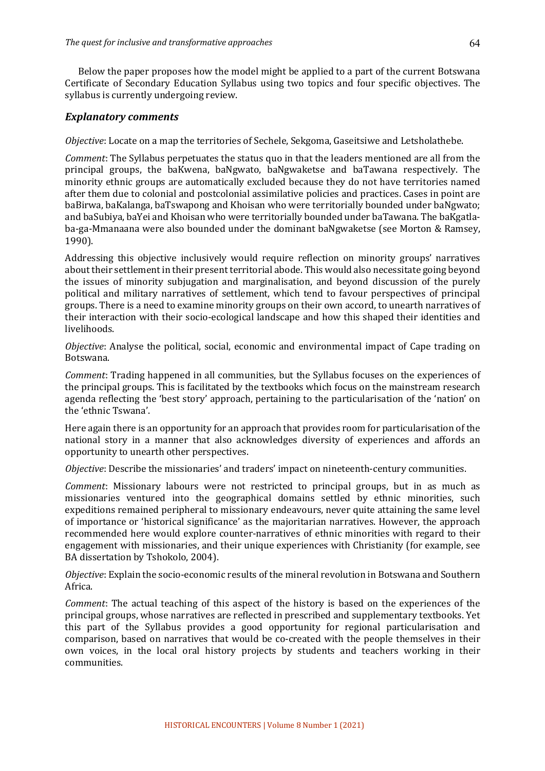Below the paper proposes how the model might be applied to a part of the current Botswana Certificate of Secondary Education Syllabus using two topics and four specific objectives. The syllabus is currently undergoing review.

#### *Explanatory comments*

*Objective*: Locate on a map the territories of Sechele, Sekgoma, Gaseitsiwe and Letsholathebe.

*Comment*: The Syllabus perpetuates the status quo in that the leaders mentioned are all from the principal groups, the baKwena, baNgwato, baNgwaketse and baTawana respectively. The minority ethnic groups are automatically excluded because they do not have territories named after them due to colonial and postcolonial assimilative policies and practices. Cases in point are baBirwa, baKalanga, baTswapong and Khoisan who were territorially bounded under baNgwato; and baSubiya, baYei and Khoisan who were territorially bounded under baTawana. The baKgatlaba-ga-Mmanaana were also bounded under the dominant baNgwaketse (see Morton & Ramsey, 1990).

Addressing this objective inclusively would require reflection on minority groups' narratives about their settlement in their present territorial abode. This would also necessitate going beyond the issues of minority subjugation and marginalisation, and beyond discussion of the purely political and military narratives of settlement, which tend to favour perspectives of principal groups. There is a need to examine minority groups on their own accord, to unearth narratives of their interaction with their socio-ecological landscape and how this shaped their identities and livelihoods.

*Objective*: Analyse the political, social, economic and environmental impact of Cape trading on Botswana.

*Comment*: Trading happened in all communities, but the Syllabus focuses on the experiences of the principal groups. This is facilitated by the textbooks which focus on the mainstream research agenda reflecting the 'best story' approach, pertaining to the particularisation of the 'nation' on the 'ethnic Tswana'.

Here again there is an opportunity for an approach that provides room for particularisation of the national story in a manner that also acknowledges diversity of experiences and affords an opportunity to unearth other perspectives.

*Objective*: Describe the missionaries' and traders' impact on nineteenth-century communities.

*Comment*: Missionary labours were not restricted to principal groups, but in as much as missionaries ventured into the geographical domains settled by ethnic minorities, such expeditions remained peripheral to missionary endeavours, never quite attaining the same level of importance or 'historical significance' as the majoritarian narratives. However, the approach recommended here would explore counter-narratives of ethnic minorities with regard to their engagement with missionaries, and their unique experiences with Christianity (for example, see BA dissertation by Tshokolo, 2004).

*Objective*: Explain the socio-economic results of the mineral revolution in Botswana and Southern Africa.

*Comment*: The actual teaching of this aspect of the history is based on the experiences of the principal groups, whose narratives are reflected in prescribed and supplementary textbooks. Yet this part of the Syllabus provides a good opportunity for regional particularisation and comparison, based on narratives that would be co-created with the people themselves in their own voices, in the local oral history projects by students and teachers working in their communities.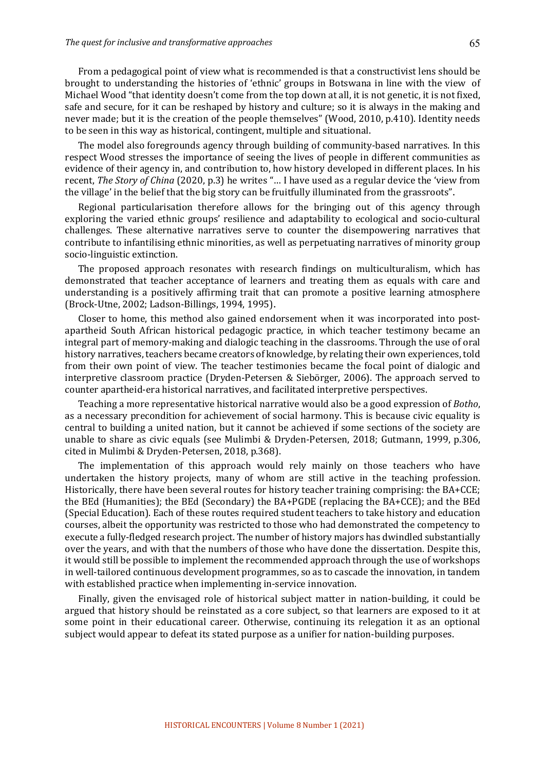From a pedagogical point of view what is recommended is that a constructivist lens should be brought to understanding the histories of 'ethnic' groups in Botswana in line with the view of Michael Wood "that identity doesn't come from the top down at all, it is not genetic, it is not fixed, safe and secure, for it can be reshaped by history and culture; so it is always in the making and never made; but it is the creation of the people themselves" (Wood, 2010, p.410). Identity needs to be seen in this way as historical, contingent, multiple and situational.

The model also foregrounds agency through building of community-based narratives. In this respect Wood stresses the importance of seeing the lives of people in different communities as evidence of their agency in, and contribution to, how history developed in different places. In his recent, *The Story of China* (2020, p.3) he writes "... I have used as a regular device the 'view from the village' in the belief that the big story can be fruitfully illuminated from the grassroots".

Regional particularisation therefore allows for the bringing out of this agency through exploring the varied ethnic groups' resilience and adaptability to ecological and socio-cultural challenges. These alternative narratives serve to counter the disempowering narratives that contribute to infantilising ethnic minorities, as well as perpetuating narratives of minority group socio-linguistic extinction.

The proposed approach resonates with research findings on multiculturalism, which has demonstrated that teacher acceptance of learners and treating them as equals with care and understanding is a positively affirming trait that can promote a positive learning atmosphere (Brock-Utne, 2002; Ladson-Billings, 1994, 1995).

Closer to home, this method also gained endorsement when it was incorporated into postapartheid South African historical pedagogic practice, in which teacher testimony became an integral part of memory-making and dialogic teaching in the classrooms. Through the use of oral history narratives, teachers became creators of knowledge, by relating their own experiences, told from their own point of view. The teacher testimonies became the focal point of dialogic and interpretive classroom practice (Dryden-Petersen & Siebörger, 2006). The approach served to counter apartheid-era historical narratives, and facilitated interpretive perspectives.

Teaching a more representative historical narrative would also be a good expression of *Botho*, as a necessary precondition for achievement of social harmony. This is because civic equality is central to building a united nation, but it cannot be achieved if some sections of the society are unable to share as civic equals (see Mulimbi & Dryden-Petersen, 2018; Gutmann, 1999, p.306, cited in Mulimbi & Dryden-Petersen, 2018, p.368).

The implementation of this approach would rely mainly on those teachers who have undertaken the history projects, many of whom are still active in the teaching profession. Historically, there have been several routes for history teacher training comprising: the  $BA+CCE$ ; the BEd (Humanities); the BEd (Secondary) the  $BA+PGDE$  (replacing the  $BA+CCE$ ); and the BEd (Special Education). Each of these routes required student teachers to take history and education courses, albeit the opportunity was restricted to those who had demonstrated the competency to execute a fully-fledged research project. The number of history majors has dwindled substantially over the years, and with that the numbers of those who have done the dissertation. Despite this, it would still be possible to implement the recommended approach through the use of workshops in well-tailored continuous development programmes, so as to cascade the innovation, in tandem with established practice when implementing in-service innovation.

Finally, given the envisaged role of historical subject matter in nation-building, it could be argued that history should be reinstated as a core subject, so that learners are exposed to it at some point in their educational career. Otherwise, continuing its relegation it as an optional subject would appear to defeat its stated purpose as a unifier for nation-building purposes.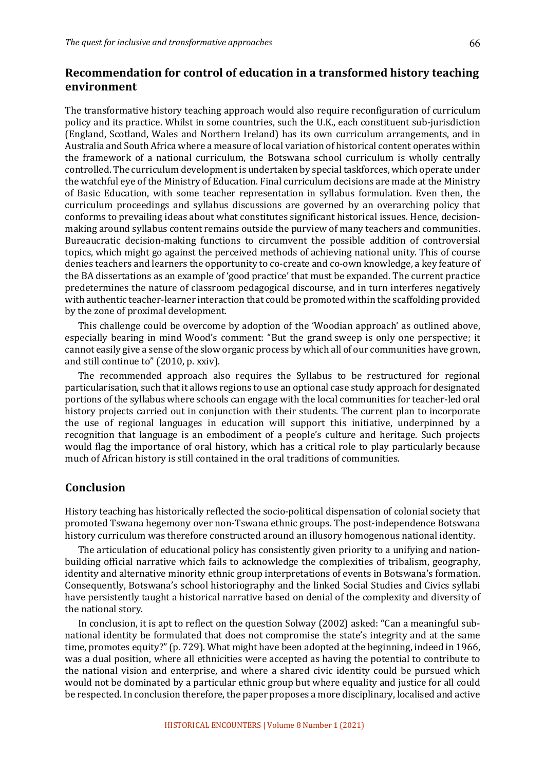## **Recommendation for control of education in a transformed history teaching environment**

The transformative history teaching approach would also require reconfiguration of curriculum policy and its practice. Whilst in some countries, such the U.K., each constituent sub-jurisdiction (England, Scotland, Wales and Northern Ireland) has its own curriculum arrangements, and in Australia and South Africa where a measure of local variation of historical content operates within the framework of a national curriculum, the Botswana school curriculum is wholly centrally controlled. The curriculum development is undertaken by special taskforces, which operate under the watchful eye of the Ministry of Education. Final curriculum decisions are made at the Ministry of Basic Education, with some teacher representation in syllabus formulation. Even then, the curriculum proceedings and syllabus discussions are governed by an overarching policy that conforms to prevailing ideas about what constitutes significant historical issues. Hence, decisionmaking around syllabus content remains outside the purview of many teachers and communities. Bureaucratic decision-making functions to circumvent the possible addition of controversial topics, which might go against the perceived methods of achieving national unity. This of course denies teachers and learners the opportunity to co-create and co-own knowledge, a key feature of the BA dissertations as an example of 'good practice' that must be expanded. The current practice predetermines the nature of classroom pedagogical discourse, and in turn interferes negatively with authentic teacher-learner interaction that could be promoted within the scaffolding provided by the zone of proximal development.

This challenge could be overcome by adoption of the 'Woodian approach' as outlined above, especially bearing in mind Wood's comment: "But the grand sweep is only one perspective; it cannot easily give a sense of the slow organic process by which all of our communities have grown, and still continue to" (2010, p. xxiv).

The recommended approach also requires the Syllabus to be restructured for regional particularisation, such that it allows regions to use an optional case study approach for designated portions of the syllabus where schools can engage with the local communities for teacher-led oral history projects carried out in conjunction with their students. The current plan to incorporate the use of regional languages in education will support this initiative, underpinned by a recognition that language is an embodiment of a people's culture and heritage. Such projects would flag the importance of oral history, which has a critical role to play particularly because much of African history is still contained in the oral traditions of communities.

## **Conclusion**

History teaching has historically reflected the socio-political dispensation of colonial society that promoted Tswana hegemony over non-Tswana ethnic groups. The post-independence Botswana history curriculum was therefore constructed around an illusory homogenous national identity.

The articulation of educational policy has consistently given priority to a unifying and nationbuilding official narrative which fails to acknowledge the complexities of tribalism, geography, identity and alternative minority ethnic group interpretations of events in Botswana's formation. Consequently, Botswana's school historiography and the linked Social Studies and Civics syllabi have persistently taught a historical narrative based on denial of the complexity and diversity of the national story.

In conclusion, it is apt to reflect on the question Solway (2002) asked: "Can a meaningful subnational identity be formulated that does not compromise the state's integrity and at the same time, promotes equity?" (p. 729). What might have been adopted at the beginning, indeed in 1966, was a dual position, where all ethnicities were accepted as having the potential to contribute to the national vision and enterprise, and where a shared civic identity could be pursued which would not be dominated by a particular ethnic group but where equality and justice for all could be respected. In conclusion therefore, the paper proposes a more disciplinary, localised and active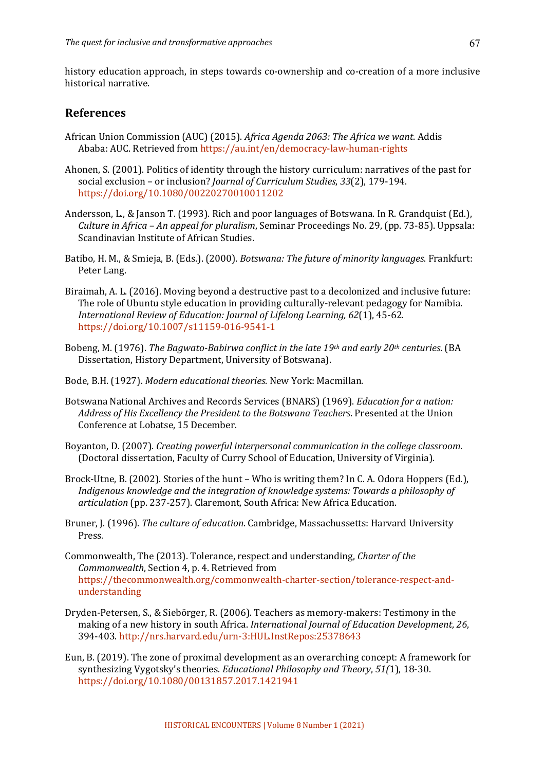history education approach, in steps towards co-ownership and co-creation of a more inclusive historical narrative.

#### **References**

- African Union Commission (AUC) (2015). *Africa Agenda 2063: The Africa we want*. Addis Ababa: AUC. Retrieved from https://au.int/en/democracy-law-human-rights
- Ahonen, S. (2001). Politics of identity through the history curriculum: narratives of the past for social exclusion - or inclusion? *Journal of Curriculum Studies*, 33(2), 179-194. https://doi.org/10.1080/00220270010011202
- Andersson, L., & Janson T. (1993). Rich and poor languages of Botswana. In R. Grandquist (Ed.), *Culture in Africa* – *An appeal for pluralism*, Seminar Proceedings No. 29, (pp. 73-85). Uppsala: Scandinavian Institute of African Studies.
- Batibo, H. M., & Smieja, B. (Eds.). (2000). *Botswana: The future of minority languages*. Frankfurt: Peter Lang.
- Biraimah, A. L. (2016). Moving beyond a destructive past to a decolonized and inclusive future: The role of Ubuntu style education in providing culturally-relevant pedagogy for Namibia. *International Review of Education: Journal of Lifelong Learning, 62(1), 45-62.* https://doi.org/10.1007/s11159-016-9541-1
- Bobeng, M. (1976). *The Bagwato-Babirwa conflict in the late 19th and early 20th centuries.* (BA Dissertation, History Department, University of Botswana).
- Bode, B.H. (1927). *Modern educational theories*. New York: Macmillan.
- Botswana National Archives and Records Services (BNARS) (1969). *Education for a nation:* Address of His Excellency the President to the Botswana Teachers. Presented at the Union Conference at Lobatse, 15 December.
- Boyanton, D. (2007). *Creating powerful interpersonal communication in the college classroom.* (Doctoral dissertation, Faculty of Curry School of Education, University of Virginia).
- Brock-Utne, B. (2002). Stories of the hunt Who is writing them? In C. A. Odora Hoppers (Ed.), Indigenous knowledge and the integration of knowledge systems: Towards a philosophy of articulation (pp. 237-257). Claremont, South Africa: New Africa Education.
- Bruner, J. (1996). *The culture of education*. Cambridge, Massachussetts: Harvard University Press.
- Commonwealth, The (2013). Tolerance, respect and understanding, *Charter of the Commonwealth*, Section 4, p. 4, Retrieved from https://thecommonwealth.org/commonwealth-charter-section/tolerance-respect-andunderstanding
- Dryden-Petersen, S., & Siebörger, R. (2006). Teachers as memory-makers: Testimony in the making of a new history in south Africa. *International Journal of Education Development*, 26, 394-403. http://nrs.harvard.edu/urn-3:HUL.InstRepos:25378643
- Eun, B. (2019). The zone of proximal development as an overarching concept: A framework for synthesizing Vygotsky's theories. *Educational Philosophy and Theory*, 51(1), 18-30. https://doi.org/10.1080/00131857.2017.1421941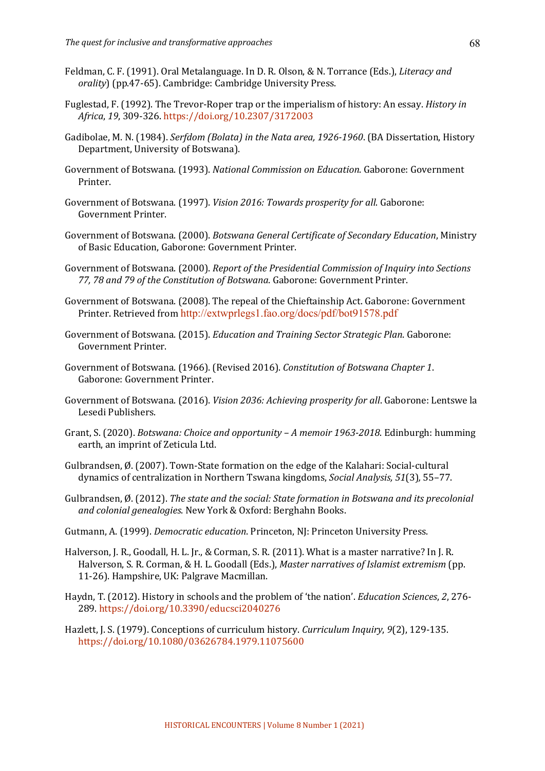- Feldman, C. F. (1991). Oral Metalanguage. In D. R. Olson, & N. Torrance (Eds.), *Literacy and orality*) (pp.47-65). Cambridge: Cambridge University Press.
- Fuglestad, F. (1992). The Trevor-Roper trap or the imperialism of history: An essay. *History in Africa*, *19*, 309-326. https://doi.org/10.2307/3172003
- Gadibolae, M. N. (1984). *Serfdom (Bolata) in the Nata area, 1926-1960*. (BA Dissertation, History Department, University of Botswana).
- Government of Botswana. (1993). *National Commission on Education*. Gaborone: Government Printer.
- Government of Botswana. (1997). *Vision 2016: Towards prosperity for all*. Gaborone: Government Printer.
- Government of Botswana. (2000). *Botswana General Certificate of Secondary Education*, Ministry of Basic Education, Gaborone: Government Printer.
- Government of Botswana. (2000). *Report of the Presidential Commission of Inquiry into Sections* 77, 78 and 79 of the Constitution of Botswana. Gaborone: Government Printer.
- Government of Botswana. (2008). The repeal of the Chieftainship Act. Gaborone: Government Printer. Retrieved from http://extwprlegs1.fao.org/docs/pdf/bot91578.pdf
- Government of Botswana. (2015). *Education and Training Sector Strategic Plan*. Gaborone: Government Printer.
- Government of Botswana. (1966). (Revised 2016). *Constitution of Botswana Chapter 1*. Gaborone: Government Printer.
- Government of Botswana. (2016). *Vision 2036: Achieving prosperity for all*. Gaborone: Lentswe la Lesedi Publishers.
- Grant, S. (2020). *Botswana: Choice and opportunity A memoir 1963-2018*. Edinburgh: humming earth, an imprint of Zeticula Ltd.
- Gulbrandsen, Ø. (2007). Town-State formation on the edge of the Kalahari: Social-cultural dynamics of centralization in Northern Tswana kingdoms, *Social Analysis, 51*(3)*,* 55–77.
- Gulbrandsen, Ø. (2012). *The state and the social: State formation in Botswana and its precolonial* and colonial genealogies. New York & Oxford: Berghahn Books.
- Gutmann, A. (1999). *Democratic education*. Princeton, NJ: Princeton University Press.
- Halverson, J. R., Goodall, H. L. Jr., & Corman, S. R. (2011). What is a master narrative? In J. R. Halverson, S. R. Corman, & H. L. Goodall (Eds.), *Master narratives of Islamist extremism* (pp. 11-26). Hampshire, UK: Palgrave Macmillan.
- Haydn, T. (2012). History in schools and the problem of 'the nation'. *Education Sciences*, 2, 276-289. https://doi.org/10.3390/educsci2040276
- Hazlett, J. S. (1979). Conceptions of curriculum history. *Curriculum Inquiry*, 9(2), 129-135. https://doi.org/10.1080/03626784.1979.11075600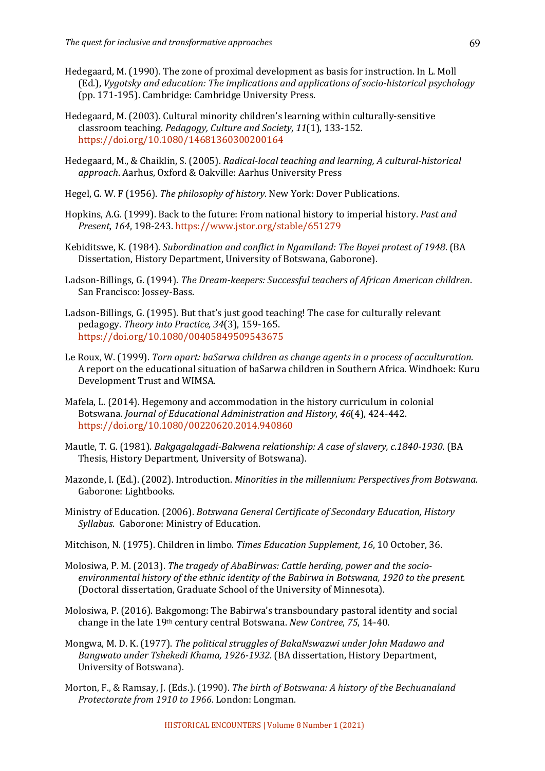- Hedegaard, M. (1990). The zone of proximal development as basis for instruction. In L. Moll (Ed.), *Vygotsky and education: The implications and applications of socio-historical psychology* (pp. 171-195). Cambridge: Cambridge University Press.
- Hedegaard, M. (2003). Cultural minority children's learning within culturally-sensitive classroom teaching. *Pedagogy, Culture and Society*, *11*(1), 133-152. https://doi.org/10.1080/14681360300200164
- Hedegaard, M., & Chaiklin, S. (2005). *Radical-local teaching and learning, A cultural-historical* approach. Aarhus, Oxford & Oakville: Aarhus University Press
- Hegel, G. W. F (1956). *The philosophy of history*. New York: Dover Publications.
- Hopkins, A.G. (1999). Back to the future: From national history to imperial history. Past and *Present*, *164*, 198-243. https://www.jstor.org/stable/651279
- Kebiditswe, K. (1984). *Subordination and conflict in Ngamiland: The Bayei protest of 1948*. (BA Dissertation, History Department, University of Botswana, Gaborone).
- Ladson-Billings, G. (1994). *The Dream-keepers: Successful teachers of African American children.* San Francisco: Jossey-Bass.
- Ladson-Billings, G. (1995). But that's just good teaching! The case for culturally relevant pedagogy. Theory into Practice, 34(3), 159-165. https://doi.org/10.1080/00405849509543675
- Le Roux, W. (1999). *Torn apart: baSarwa children as change agents in a process of acculturation.* A report on the educational situation of baSarwa children in Southern Africa. Windhoek: Kuru Development Trust and WIMSA.
- Mafela, L. (2014). Hegemony and accommodation in the history curriculum in colonial Botswana. *Journal of Educational Administration and History, 46*(4), 424-442. https://doi.org/10.1080/00220620.2014.940860
- Mautle, T. G. (1981). *Bakgagalagadi-Bakwena relationship: A case of slavery, c.1840-1930.* (BA Thesis, History Department, University of Botswana).
- Mazonde, I. (Ed.). (2002). Introduction. *Minorities in the millennium: Perspectives from Botswana*. Gaborone: Lightbooks.
- Ministry of Education. (2006). *Botswana General Certificate of Secondary Education, History* Syllabus. Gaborone: Ministry of Education.
- Mitchison, N. (1975). Children in limbo. *Times Education Supplement*, 16, 10 October, 36.
- Molosiwa, P. M. (2013). *The tragedy of AbaBirwas: Cattle herding, power and the socio*environmental history of the ethnic identity of the Babirwa in Botswana, 1920 to the present. (Doctoral dissertation, Graduate School of the University of Minnesota).
- Molosiwa, P. (2016). Bakgomong: The Babirwa's transboundary pastoral identity and social change in the late 19<sup>th</sup> century central Botswana. *New Contree*, 75, 14-40.
- Mongwa, M. D. K. (1977). *The political struggles of BakaNswazwi under John Madawo and Bangwato under Tshekedi Khama, 1926-1932.* (BA dissertation, History Department, University of Botswana).
- Morton, F., & Ramsay, J. (Eds.). (1990). *The birth of Botswana: A history of the Bechuanaland Protectorate from 1910 to 1966*. London: Longman.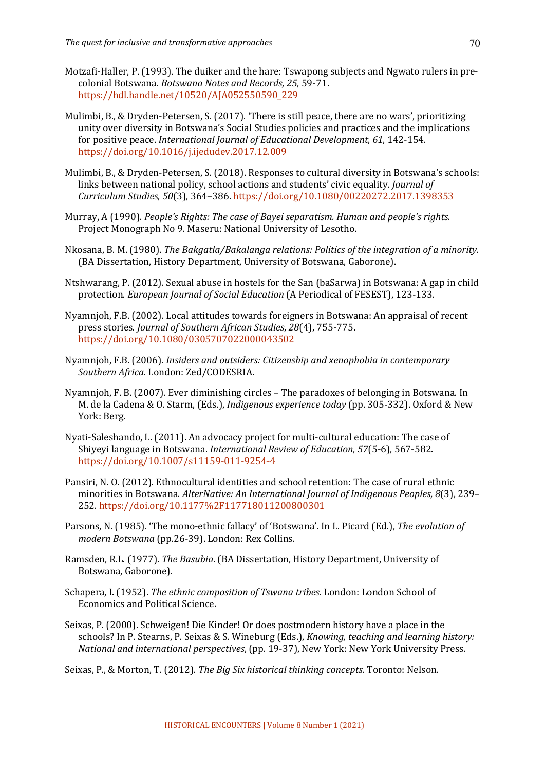- Motzafi-Haller, P. (1993). The duiker and the hare: Tswapong subjects and Ngwato rulers in precolonial Botswana. *Botswana Notes and Records, 25*, 59-71. https://hdl.handle.net/10520/AJA052550590\_229
- Mulimbi, B., & Dryden-Petersen, S. (2017). 'There is still peace, there are no wars', prioritizing unity over diversity in Botswana's Social Studies policies and practices and the implications for positive peace. *International Journal of Educational Development*, 61, 142-154. https://doi.org/10.1016/j.ijedudev.2017.12.009
- Mulimbi, B., & Dryden-Petersen, S. (2018). Responses to cultural diversity in Botswana's schools: links between national policy, school actions and students' civic equality. *Journal of Curriculum Studies*, *50*(3), 364–386. https://doi.org/10.1080/00220272.2017.1398353
- Murray, A (1990). *People's Rights: The case of Bayei separatism. Human and people's rights.* Project Monograph No 9. Maseru: National University of Lesotho.
- Nkosana, B. M. (1980). *The Bakgatla/Bakalanga relations: Politics of the integration of a minority*. (BA Dissertation, History Department, University of Botswana, Gaborone).
- Ntshwarang, P. (2012). Sexual abuse in hostels for the San (baSarwa) in Botswana: A gap in child protection. *European Journal of Social Education* (A Periodical of FESEST), 123-133.
- Nyamnjoh, F.B. (2002). Local attitudes towards foreigners in Botswana: An appraisal of recent press stories. *Journal of Southern African Studies*, *28*(4), 755-775. https://doi.org/10.1080/0305707022000043502
- Nyamnjoh, F.B. (2006). *Insiders and outsiders: Citizenship and xenophobia in contemporary Southern Africa*. London: Zed/CODESRIA.
- Nyamnjoh, F. B. (2007). Ever diminishing circles  $-$  The paradoxes of belonging in Botswana. In M. de la Cadena & O. Starm, (Eds.), *Indigenous experience today* (pp. 305-332). Oxford & New York: Berg.
- Nyati-Saleshando, L. (2011). An advocacy project for multi-cultural education: The case of Shiyeyi language in Botswana. *International Review of Education*, 57(5-6), 567-582. https://doi.org/10.1007/s11159-011-9254-4
- Pansiri, N. O. (2012). Ethnocultural identities and school retention: The case of rural ethnic minorities in Botswana. AlterNative: An International Journal of Indigenous Peoples, 8(3), 239-252. https://doi.org/10.1177%2F117718011200800301
- Parsons, N. (1985). 'The mono-ethnic fallacy' of 'Botswana'. In L. Picard (Ed.), *The evolution of modern Botswana* (pp.26-39). London: Rex Collins.
- Ramsden, R.L. (1977). *The Basubia*. (BA Dissertation, History Department, University of Botswana, Gaborone).
- Schapera, I. (1952). *The ethnic composition of Tswana tribes*. London: London School of Economics and Political Science.
- Seixas, P. (2000). Schweigen! Die Kinder! Or does postmodern history have a place in the schools? In P. Stearns, P. Seixas & S. Wineburg (Eds.), *Knowing, teaching and learning history: National and international perspectives*, (pp. 19-37), New York: New York University Press.
- Seixas, P., & Morton, T. (2012). *The Big Six historical thinking concepts*. Toronto: Nelson.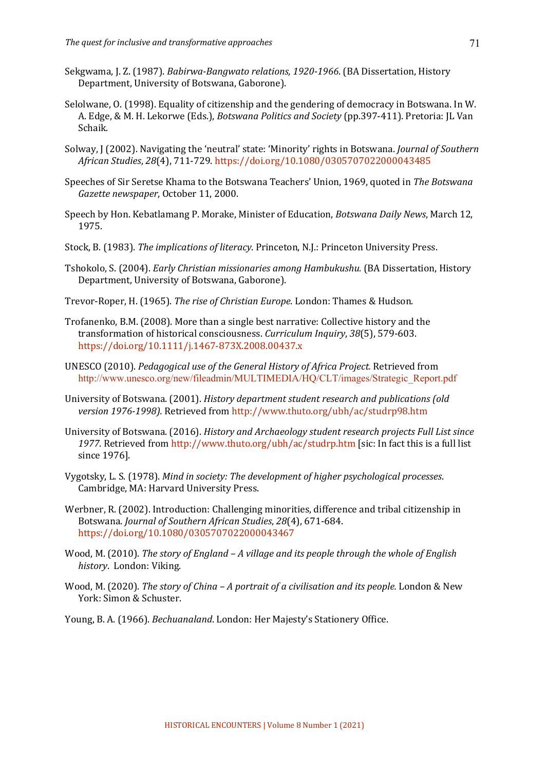- Sekgwama, J. Z. (1987). *Babirwa-Bangwato relations, 1920-1966*. (BA Dissertation, History Department, University of Botswana, Gaborone).
- Selolwane, O. (1998). Equality of citizenship and the gendering of democracy in Botswana. In W. A. Edge, & M. H. Lekorwe (Eds.), *Botswana Politics and Society* (pp.397-411). Pretoria: IL Van Schaik.
- Solway, J (2002). Navigating the 'neutral' state: 'Minority' rights in Botswana. *Journal of Southern African Studies*, *28*(4), 711-729. https://doi.org/10.1080/0305707022000043485
- Speeches of Sir Seretse Khama to the Botswana Teachers' Union, 1969, quoted in *The Botswana* Gazette newspaper, October 11, 2000.
- Speech by Hon. Kebatlamang P. Morake, Minister of Education, *Botswana Daily News*, March 12, 1975.
- Stock, B. (1983). *The implications of literacy*. Princeton, N.J.: Princeton University Press.
- Tshokolo, S. (2004). *Early Christian missionaries among Hambukushu.* (BA Dissertation, History Department, University of Botswana, Gaborone).
- Trevor-Roper, H. (1965). *The rise of Christian Europe*. London: Thames & Hudson.
- Trofanenko, B.M. (2008). More than a single best narrative: Collective history and the transformation of historical consciousness. *Curriculum Inquiry*, *38*(5), 579-603. https://doi.org/10.1111/j.1467-873X.2008.00437.x
- UNESCO (2010). *Pedagogical use of the General History of Africa Project.* Retrieved from http://www.unesco.org/new/fileadmin/MULTIMEDIA/HQ/CLT/images/Strategic\_Report.pdf
- University of Botswana. (2001). *History department student research and publications (old version 1976-1998).* Retrieved from http://www.thuto.org/ubh/ac/studrp98.htm
- University of Botswana. (2016). *History and Archaeology student research projects Full List since* 1977. Retrieved from http://www.thuto.org/ubh/ac/studrp.htm [sic: In fact this is a full list since 1976].
- Vygotsky, L. S. (1978). *Mind in society: The development of higher psychological processes.* Cambridge, MA: Harvard University Press.
- Werbner, R. (2002). Introduction: Challenging minorities, difference and tribal citizenship in Botswana. *Journal of Southern African Studies*, 28(4), 671-684. https://doi.org/10.1080/0305707022000043467
- Wood, M. (2010). *The story of England A village and its people through the whole of English history*. London: Viking.
- Wood, M. (2020). *The story of China A portrait of a civilisation and its people.* London & New York: Simon & Schuster.
- Young, B. A. (1966). *Bechuanaland*. London: Her Majesty's Stationery Office.